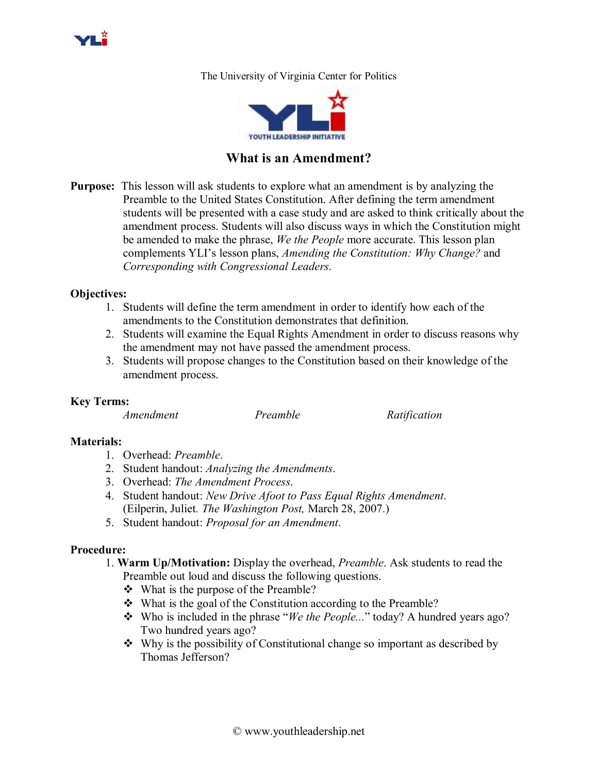The University of Virginia Center for Politics



#### **What is an Amendment?**

**Purpose:** This lesson will ask students to explore what an amendment is by analyzing the Preamble to the United States Constitution. After defining the term amendment students will be presented with a case study and are asked to think critically about the amendment process. Students will also discuss ways in which the Constitution might be amended to make the phrase, *We the People* more accurate. This lesson plan complements YLI's lesson plans, *Amending the Constitution: Why Change?* and *Corresponding with Congressional Leaders*.

#### **Objectives:**

- 1. Students will define the term amendment in order to identify how each of the amendments to the Constitution demonstrates that definition.
- 2. Students will examine the Equal Rights Amendment in order to discuss reasons why the amendment may not have passed the amendment process.
- 3. Students will propose changes to the Constitution based on their knowledge of the amendment process.

#### **Key Terms:**

*Amendment Preamble Ratification*

#### **Materials:**

- 1. Overhead: *Preamble*.
- 2. Student handout: *Analyzing the Amendments*.
- 3. Overhead: *The Amendment Process*.
- 4. Student handout: *New Drive Afoot to Pass Equal Rights Amendment*. (Eilperin, Juliet*. The Washington Post,* March 28, 2007.)
- 5. Student handout: *Proposal for an Amendment*.

#### **Procedure:**

- 1. **Warm Up/Motivation:** Display the overhead, *Preamble*. Ask students to read the Preamble out loud and discuss the following questions.
	-
	- $\div$  What is the purpose of the Preamble?
	- $\cdot$  What is the goal of the Constitution according to the Preamble?
	- v Who is included in the phrase "*We the People...*" today? A hundred years ago? Two hundred years ago?
	- $\cdot$  Why is the possibility of Constitutional change so important as described by Thomas Jefferson?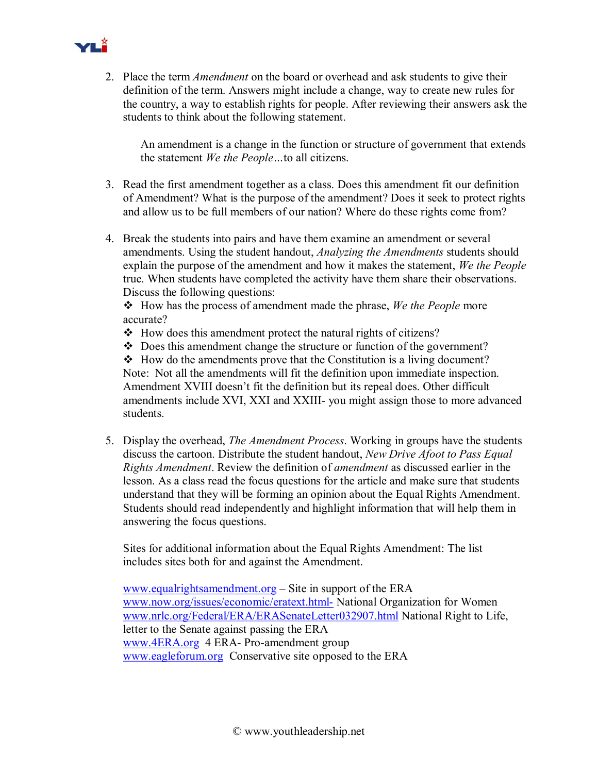

2. Place the term *Amendment* on the board or overhead and ask students to give their definition of the term. Answers might include a change, way to create new rules for the country, a way to establish rights for people. After reviewing their answers ask the students to think about the following statement.

An amendment is a change in the function or structure of government that extends the statement *We the People…*to all citizens.

- 3. Read the first amendment together as a class. Does this amendment fit our definition of Amendment? What is the purpose of the amendment? Does it seek to protect rights and allow us to be full members of our nation? Where do these rights come from?
- 4. Break the students into pairs and have them examine an amendment or several amendments. Using the student handout, *Analyzing the Amendments* students should explain the purpose of the amendment and how it makes the statement, *We the People* true. When students have completed the activity have them share their observations. Discuss the following questions:

v How has the process of amendment made the phrase, *We the People* more accurate?

- $\triangle$  How does this amendment protect the natural rights of citizens?
- $\cdot$  Does this amendment change the structure or function of the government?

 $\cdot$  How do the amendments prove that the Constitution is a living document? Note: Not all the amendments will fit the definition upon immediate inspection. Amendment XVIII doesn't fit the definition but its repeal does. Other difficult amendments include XVI, XXI and XXIII- you might assign those to more advanced students.

5. Display the overhead, *The Amendment Process*. Working in groups have the students discuss the cartoon. Distribute the student handout, *New Drive Afoot to Pass Equal Rights Amendment*. Review the definition of *amendment* as discussed earlier in the lesson. As a class read the focus questions for the article and make sure that students understand that they will be forming an opinion about the Equal Rights Amendment. Students should read independently and highlight information that will help them in answering the focus questions.

Sites for additional information about the Equal Rights Amendment: The list includes sites both for and against the Amendment.

[www.equalrightsamendment.org](http://www.equalrightsamendment.org/) – Site in support of the ERA [www.now.org/issues/economic/eratext.html](http://www.now.org/issues/economic/eratext.html-)- National Organization for Women [www.nrlc.org/Federal/ERA/ERASenateLetter032907.html](http://www.nrlc.org/Federal/ERA/ERASenateLetter032907.html) National Right to Life, letter to the Senate against passing the ERA [www.4ERA.org](http://www.4era.org/) 4 ERA- Pro-amendment group [www.eagleforum.org](http://www.eagleforum.org/)  Conservative site opposed to the ERA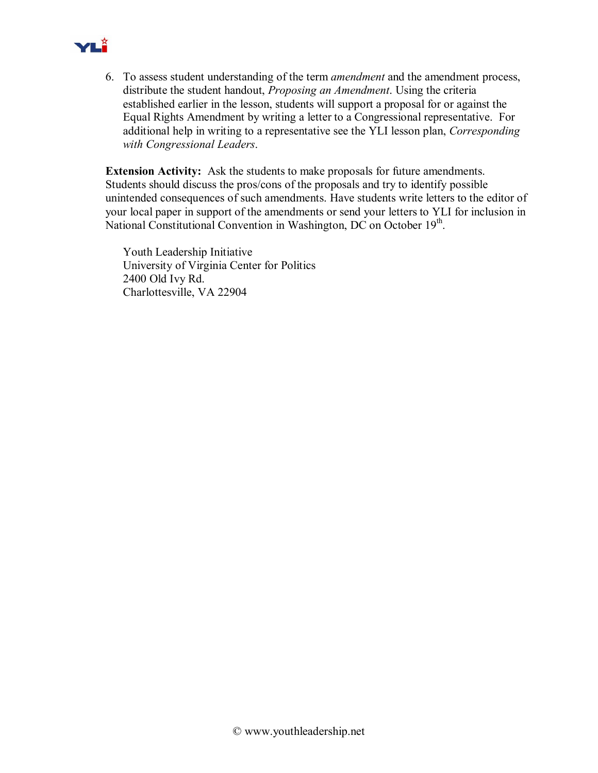

6. To assess student understanding of the term *amendment* and the amendment process, distribute the student handout, *Proposing an Amendment*. Using the criteria established earlier in the lesson, students will support a proposal for or against the Equal Rights Amendment by writing a letter to a Congressional representative. For additional help in writing to a representative see the YLI lesson plan, *Corresponding with Congressional Leaders*.

**Extension Activity:** Ask the students to make proposals for future amendments. Students should discuss the pros/cons of the proposals and try to identify possible unintended consequences of such amendments. Have students write letters to the editor of your local paper in support of the amendments or send your letters to YLI for inclusion in National Constitutional Convention in Washington, DC on October 19<sup>th</sup>.

Youth Leadership Initiative University of Virginia Center for Politics 2400 Old Ivy Rd. Charlottesville, VA 22904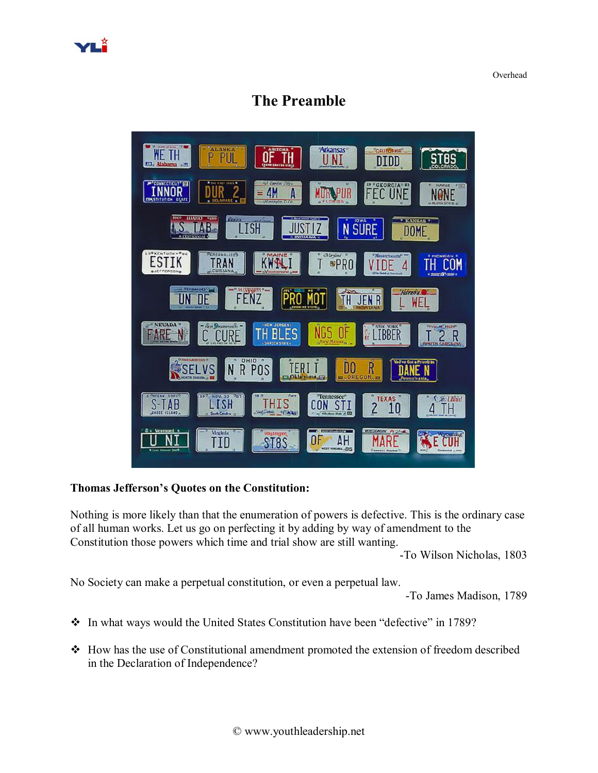

# **The Preamble**



#### **Thomas Jefferson's Quotes on the Constitution:**

Nothing is more likely than that the enumeration of powers is defective. This is the ordinary case of all human works. Let us go on perfecting it by adding by way of amendment to the Constitution those powers which time and trial show are still wanting.

To Wilson Nicholas, 1803

No Society can make a perpetual constitution, or even a perpetual law.

To James Madison, 1789

- \* In what ways would the United States Constitution have been "defective" in 1789?
- v How has the use of Constitutional amendment promoted the extension of freedom described in the Declaration of Independence?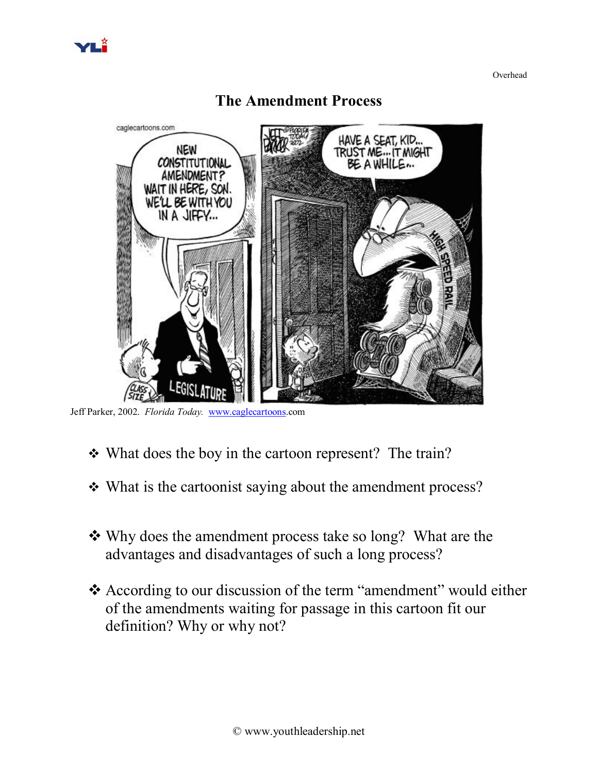

Overhead



## **The Amendment Process**

Jeff Parker, 2002. *Florida Today.* [www.caglecartoons.](http://www.caglecartoons/)com

- What does the boy in the cartoon represent? The train?
- $\div$  What is the cartoonist saying about the amendment process?
- Why does the amendment process take so long? What are the advantages and disadvantages of such a long process?
- v According to our discussion of the term "amendment" would either of the amendments waiting for passage in this cartoon fit our definition? Why or why not?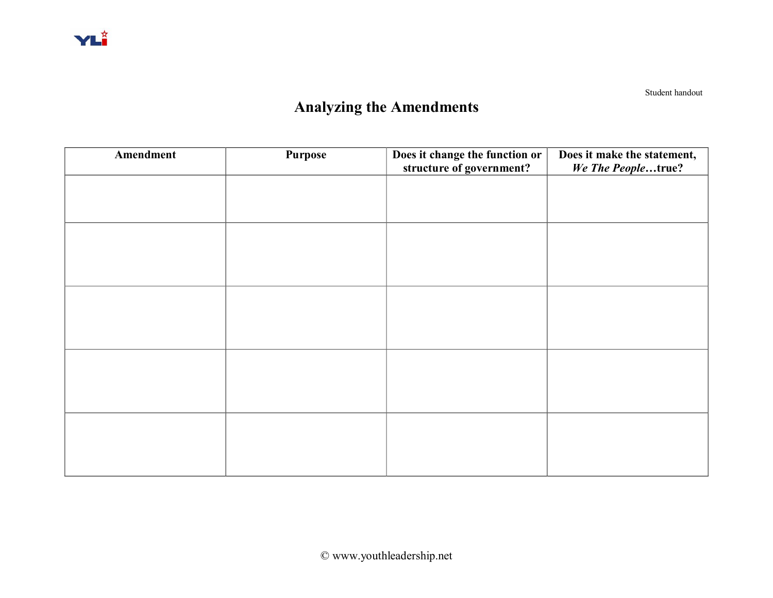Student handout

# **Analyzing the Amendments**

| Amendment | <b>Purpose</b> | Does it change the function or<br>structure of government? | Does it make the statement,<br>We The Peopletrue? |
|-----------|----------------|------------------------------------------------------------|---------------------------------------------------|
|           |                |                                                            |                                                   |
|           |                |                                                            |                                                   |
|           |                |                                                            |                                                   |
|           |                |                                                            |                                                   |
|           |                |                                                            |                                                   |
|           |                |                                                            |                                                   |
|           |                |                                                            |                                                   |
|           |                |                                                            |                                                   |
|           |                |                                                            |                                                   |
|           |                |                                                            |                                                   |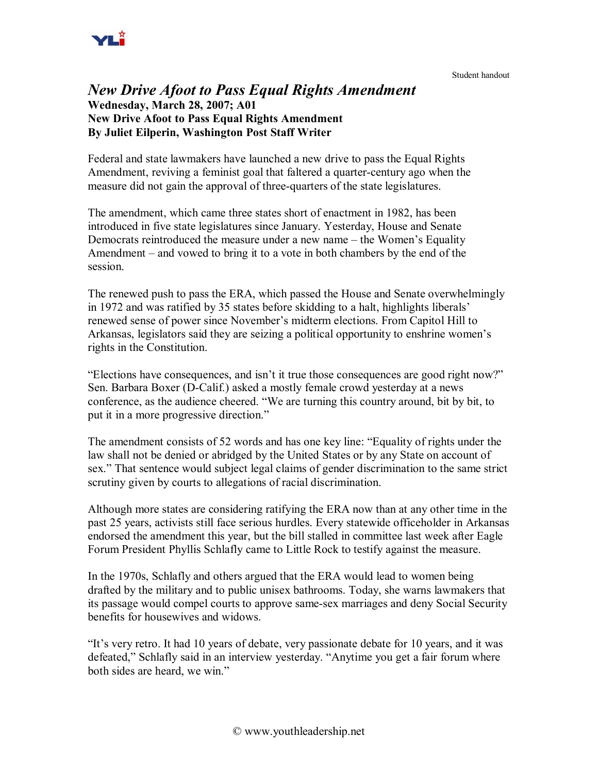

#### *New Drive Afoot to Pass Equal Rights Amendment* **Wednesday, March 28, 2007; A01 New Drive Afoot to Pass Equal Rights Amendment By Juliet Eilperin, Washington Post Staff Writer**

Federal and state lawmakers have launched a new drive to pass the Equal Rights Amendment, reviving a feminist goal that faltered a quarter-century ago when the measure did not gain the approval of three-quarters of the state legislatures.

The amendment, which came three states short of enactment in 1982, has been introduced in five state legislatures since January. Yesterday, House and Senate Democrats reintroduced the measure under a new name – the Women's Equality Amendment – and vowed to bring it to a vote in both chambers by the end of the session.

The renewed push to pass the ERA, which passed the House and Senate overwhelmingly in 1972 and was ratified by 35 states before skidding to a halt, highlights liberals' renewed sense of power since November's midterm elections. From Capitol Hill to Arkansas, legislators said they are seizing a political opportunity to enshrine women's rights in the Constitution.

"Elections have consequences, and isn't it true those consequences are good right now?" Sen. Barbara Boxer (D-Calif.) asked a mostly female crowd yesterday at a news conference, as the audience cheered. "We are turning this country around, bit by bit, to put it in a more progressive direction."

The amendment consists of 52 words and has one key line: "Equality of rights under the law shall not be denied or abridged by the United States or by any State on account of sex." That sentence would subject legal claims of gender discrimination to the same strict scrutiny given by courts to allegations of racial discrimination.

Although more states are considering ratifying the ERA now than at any other time in the past 25 years, activists still face serious hurdles. Every statewide officeholder in Arkansas endorsed the amendment this year, but the bill stalled in committee last week after Eagle Forum President Phyllis Schlafly came to Little Rock to testify against the measure.

In the 1970s, Schlafly and others argued that the ERA would lead to women being drafted by the military and to public unisex bathrooms. Today, she warns lawmakers that its passage would compel courts to approve samesex marriages and deny Social Security benefits for housewives and widows.

"It's very retro. It had 10 years of debate, very passionate debate for 10 years, and it was defeated," Schlafly said in an interview yesterday. "Anytime you get a fair forum where both sides are heard, we win."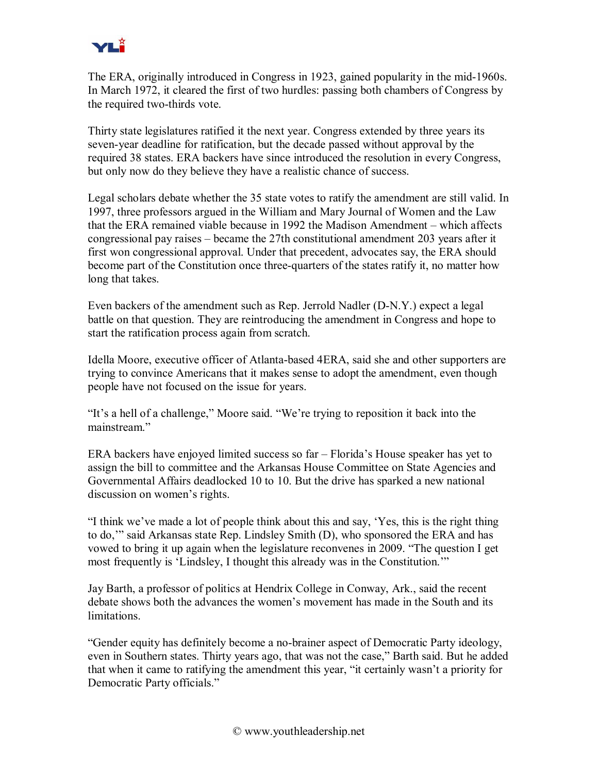

The ERA, originally introduced in Congress in 1923, gained popularity in the mid-1960s. In March 1972, it cleared the first of two hurdles: passing both chambers of Congress by the required two-thirds vote.

Thirty state legislatures ratified it the next year. Congress extended by three years its seven-year deadline for ratification, but the decade passed without approval by the required 38 states. ERA backers have since introduced the resolution in every Congress, but only now do they believe they have a realistic chance of success.

Legal scholars debate whether the 35 state votes to ratify the amendment are still valid. In 1997, three professors argued in the William and Mary Journal of Women and the Law that the ERA remained viable because in 1992 the Madison Amendment – which affects congressional pay raises – became the 27th constitutional amendment 203 years after it first won congressional approval. Under that precedent, advocates say, the ERA should become part of the Constitution once three-quarters of the states ratify it, no matter how long that takes.

Even backers of the amendment such as Rep. Jerrold Nadler (D-N.Y.) expect a legal battle on that question. They are reintroducing the amendment in Congress and hope to start the ratification process again from scratch.

Idella Moore, executive officer of Atlanta-based 4ERA, said she and other supporters are trying to convince Americans that it makes sense to adopt the amendment, even though people have not focused on the issue for years.

"It's a hell of a challenge," Moore said. "We're trying to reposition it back into the mainstream"

ERA backers have enjoyed limited success so far – Florida's House speaker has yet to assign the bill to committee and the Arkansas House Committee on State Agencies and Governmental Affairs deadlocked 10 to 10. But the drive has sparked a new national discussion on women's rights.

"I think we've made a lot of people think about this and say, 'Yes, this is the right thing to do,'" said Arkansas state Rep. Lindsley Smith (D), who sponsored the ERA and has vowed to bring it up again when the legislature reconvenes in 2009. "The question I get most frequently is 'Lindsley, I thought this already was in the Constitution.'"

Jay Barth, a professor of politics at Hendrix College in Conway, Ark., said the recent debate shows both the advances the women's movement has made in the South and its limitations.

"Gender equity has definitely become a nobrainer aspect of Democratic Party ideology, even in Southern states. Thirty years ago, that was not the case," Barth said. But he added that when it came to ratifying the amendment this year, "it certainly wasn't a priority for Democratic Party officials."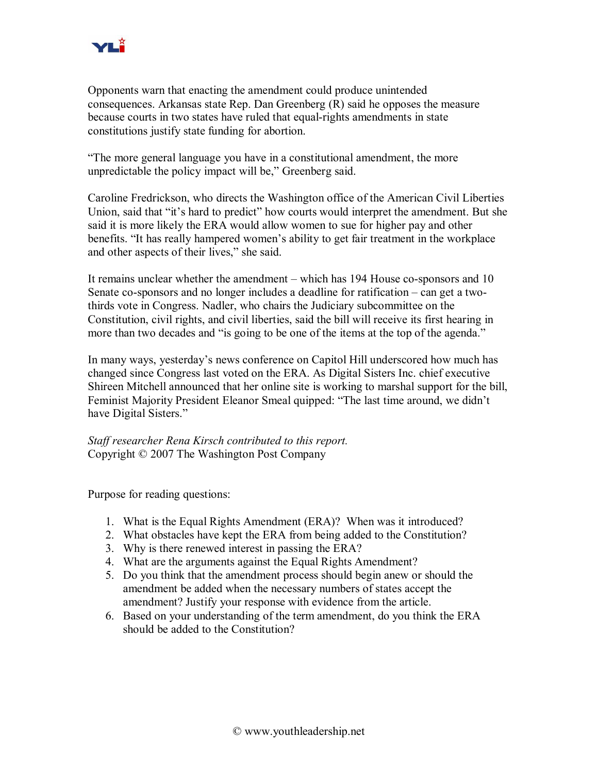

Opponents warn that enacting the amendment could produce unintended consequences. Arkansas state Rep. Dan Greenberg (R) said he opposes the measure because courts in two states have ruled that equal-rights amendments in state constitutions justify state funding for abortion.

"The more general language you have in a constitutional amendment, the more unpredictable the policy impact will be," Greenberg said.

Caroline Fredrickson, who directs the Washington office of the American Civil Liberties Union, said that "it's hard to predict" how courts would interpret the amendment. But she said it is more likely the ERA would allow women to sue for higher pay and other benefits. "It has really hampered women's ability to get fair treatment in the workplace and other aspects of their lives," she said.

It remains unclear whether the amendment – which has 194 House co-sponsors and 10 Senate co-sponsors and no longer includes a deadline for ratification  $-$  can get a twothirds vote in Congress. Nadler, who chairs the Judiciary subcommittee on the Constitution, civil rights, and civil liberties, said the bill will receive its first hearing in more than two decades and "is going to be one of the items at the top of the agenda."

In many ways, yesterday's news conference on Capitol Hill underscored how much has changed since Congress last voted on the ERA. As Digital Sisters Inc. chief executive Shireen Mitchell announced that her online site is working to marshal support for the bill, Feminist Majority President Eleanor Smeal quipped: "The last time around, we didn't have Digital Sisters."

*Staff researcher Rena Kirsch contributed to this report.* Copyright © 2007 The Washington Post Company

Purpose for reading questions:

- 1. What is the Equal Rights Amendment (ERA)? When was it introduced?
- 2. What obstacles have kept the ERA from being added to the Constitution?
- 3. Why is there renewed interest in passing the ERA?
- 4. What are the arguments against the Equal Rights Amendment?
- 5. Do you think that the amendment process should begin anew or should the amendment be added when the necessary numbers of states accept the amendment? Justify your response with evidence from the article.
- 6. Based on your understanding of the term amendment, do you think the ERA should be added to the Constitution?